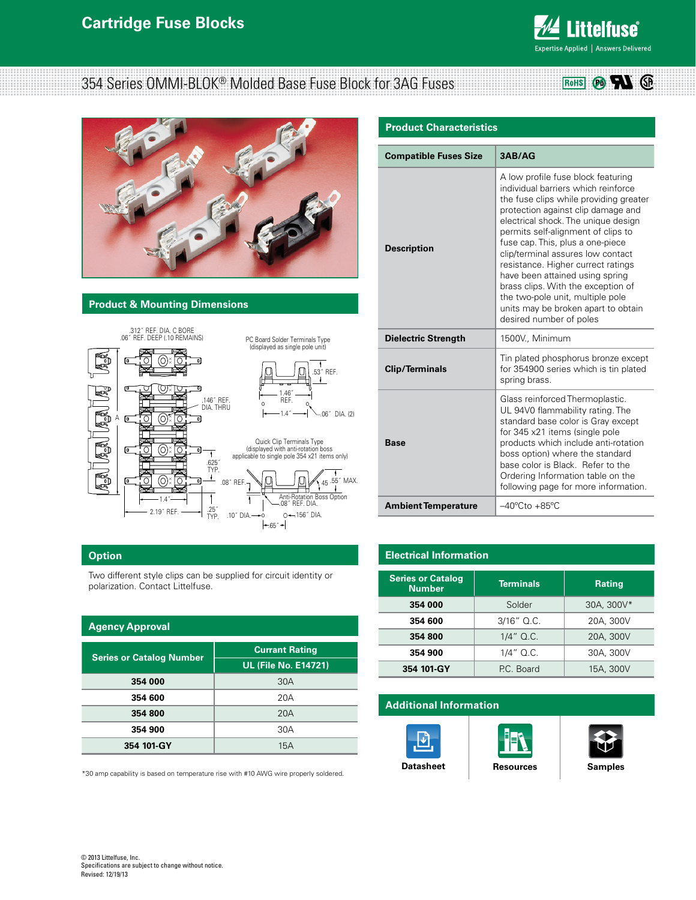

 $\circ$  71  $\circ$ 

RoHS

# 354 Series OMMI-BLOK® Molded Base Fuse Block for 3AG Fuses



#### **Product & Mounting Dimensions**



| <b>Description</b>         | A low profile fuse block featuring<br>individual barriers which reinforce<br>the fuse clips while providing greater<br>protection against clip damage and<br>electrical shock. The unique design<br>permits self-alignment of clips to<br>fuse cap. This, plus a one-piece<br>clip/terminal assures low contact<br>resistance. Higher currect ratings<br>have been attained using spring<br>brass clips. With the exception of<br>the two-pole unit, multiple pole<br>units may be broken apart to obtain<br>desired number of poles |  |  |  |  |
|----------------------------|--------------------------------------------------------------------------------------------------------------------------------------------------------------------------------------------------------------------------------------------------------------------------------------------------------------------------------------------------------------------------------------------------------------------------------------------------------------------------------------------------------------------------------------|--|--|--|--|
| <b>Dielectric Strength</b> | 1500V., Minimum                                                                                                                                                                                                                                                                                                                                                                                                                                                                                                                      |  |  |  |  |
| <b>Clip/Terminals</b>      | Tin plated phosphorus bronze except<br>for 354900 series which is tin plated<br>spring brass.                                                                                                                                                                                                                                                                                                                                                                                                                                        |  |  |  |  |
| Base                       | Glass reinforced Thermoplastic.<br>UL 94V0 flammability rating. The<br>standard base color is Gray except<br>for 345 x21 items (single pole<br>products which include anti-rotation<br>boss option) where the standard<br>base color is Black. Refer to the<br>Ordering Information table on the<br>following page for more information.                                                                                                                                                                                             |  |  |  |  |

### **Option**

Two different style clips can be supplied for circuit identity or polarization. Contact Littelfuse.

| <b>Agency Approval</b>          |                             |  |  |  |  |  |  |
|---------------------------------|-----------------------------|--|--|--|--|--|--|
|                                 | <b>Currant Rating</b>       |  |  |  |  |  |  |
| <b>Series or Catalog Number</b> | <b>UL (File No. E14721)</b> |  |  |  |  |  |  |
| 354 000                         | 30A                         |  |  |  |  |  |  |
| 354 600                         | 20A                         |  |  |  |  |  |  |
| 354 800                         | 20A                         |  |  |  |  |  |  |
| 354 900                         | 30A                         |  |  |  |  |  |  |
| 354 101-GY                      | 15A                         |  |  |  |  |  |  |

\*30 amp capability is based on temperature rise with #10 AWG wire properly soldered.

## **Electrical Information**

Ambient Temperature  $-40^{\circ}$ Cto +85°C

| <b>Series or Catalog</b><br><b>Number</b> | <b>Terminals</b> | <b>Rating</b> |  |  |
|-------------------------------------------|------------------|---------------|--|--|
| 354 000                                   | Solder           | 30A, 300V*    |  |  |
| 354 600                                   | $3/16"$ Q.C.     | 20A, 300V     |  |  |
| 354 800                                   | $1/4$ " Q.C.     | 20A, 300V     |  |  |
| 354 900                                   | $1/4$ " Q.C.     | 30A, 300V     |  |  |
| 354 101-GY                                | P.C. Board       | 15A, 300V     |  |  |

## **Additional Information**







© 2013 Littelfuse, Inc. Specifications are subject to change without notice. Revised: 12/19/13

#### **Product Characteristics**

**Compatible Fuses Size 3AB/AG**